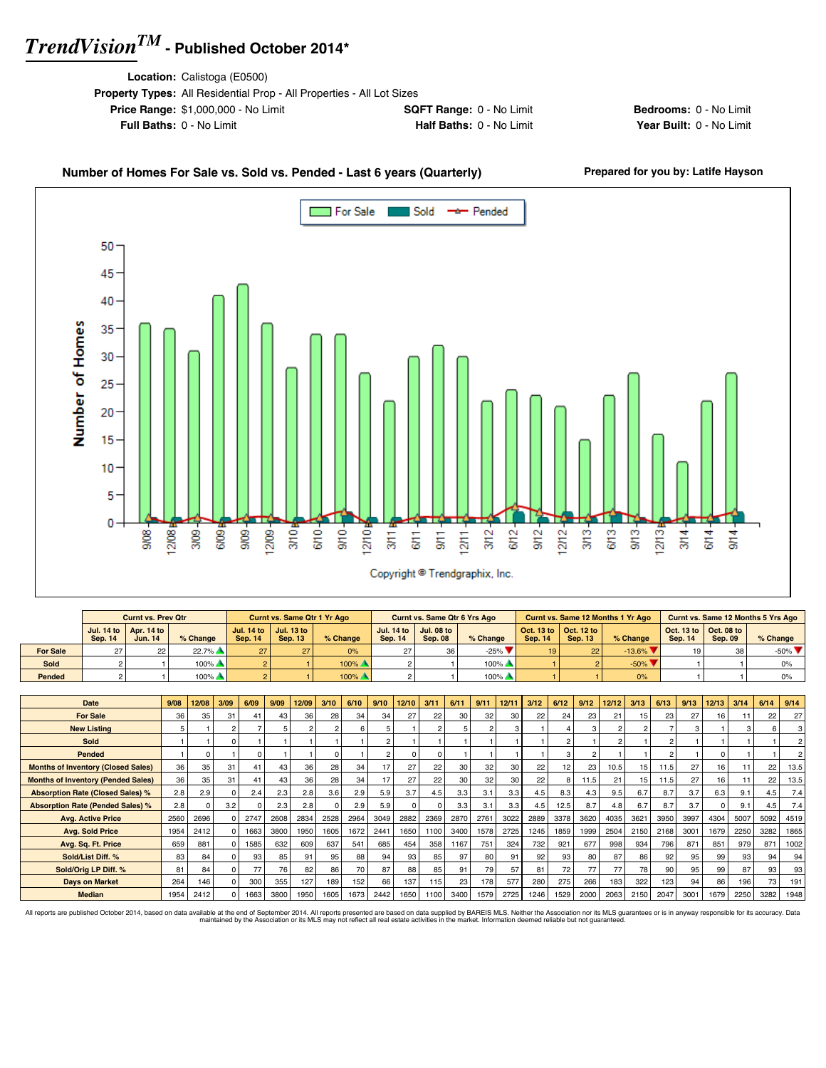**Location:** Calistoga (E0500)

| <b>Property Types:</b> All Residential Prop - All Properties - All Lot Sizes |                                 |
|------------------------------------------------------------------------------|---------------------------------|
| <b>Price Range: \$1,000,000 - No Limit</b>                                   | <b>SQFT Range: 0 - No Limit</b> |
| <b>Full Baths: 0 - No Limit</b>                                              | Half Baths: 0 - No Limit        |

**Bedrooms:** 0 - No Limit **Year Built: 0 - No Limit** 

### Number of Homes For Sale vs. Sold vs. Pended - Last 6 years (Quarterly) Prepared for you by: Latife Hayson



|                 |         | <b>Curnt vs. Prev Qtr</b>                               |                     |                | <b>Curnt vs. Same Qtr 1 Yr Ago</b>   |          |                | <b>Curnt vs. Same Qtr 6 Yrs Ago</b>                     |          |                |                                             | <b>Curnt vs. Same 12 Months 1 Yr Ago</b> |                |                                                         | <b>Curnt vs. Same 12 Months 5 Yrs Ago</b> |
|-----------------|---------|---------------------------------------------------------|---------------------|----------------|--------------------------------------|----------|----------------|---------------------------------------------------------|----------|----------------|---------------------------------------------|------------------------------------------|----------------|---------------------------------------------------------|-------------------------------------------|
|                 | Sep. 14 | Jul. 14 to $\vert$ Apr. 14 to $\vert$<br><b>Jun. 14</b> | $%$ Change          | <b>Sep. 14</b> | Jul. 14 to   Jul. 13 to  <br>Sep. 13 | % Change | <b>Sep. 14</b> | Jul. 14 to $\vert$ Jul. 08 to $\vert$<br><b>Sep. 08</b> | % Change | <b>Sep. 14</b> | Oct. 13 to   Oct. 12 to  <br><b>Sep. 13</b> | % Change                                 | <b>Sep. 14</b> | Oct. 13 to $\vert$ Oct. 08 to $\vert$<br><b>Sep. 09</b> | $%$ Change                                |
| <b>For Sale</b> | 27      | 22                                                      | $22.7\%$            |                |                                      | 0%       |                |                                                         | $-25%$   | 19             | 22                                          | $-13.6\%$ $\blacktriangledown$           | 19             | 38                                                      | $-50\%$ $\blacktriangledown$              |
| Sold            |         |                                                         | $100\%$ $\triangle$ |                |                                      | 100%     |                |                                                         | $100\%$  |                |                                             | $-50\%$ $\blacktriangledown$             |                |                                                         |                                           |
| Pended          |         |                                                         | $100\%$             |                |                                      | 100%     |                |                                                         | $100\%$  |                |                                             | 0%                                       |                |                                                         |                                           |

| Date                                      | 9/08 | 12/08 | 3/09 | 6/09 | 9/09 | 12/09 | 3/10     | 6/10 | 9/10           | 12/10    | 3/11            | 6/11 | 9/11 | 12/11 | 3/12 | 6/12 | 9/12           | 12/12 | 3/13 | 6/13            | 9/13 | 12/13 | 3/14            | 6/14 | 9/14             |
|-------------------------------------------|------|-------|------|------|------|-------|----------|------|----------------|----------|-----------------|------|------|-------|------|------|----------------|-------|------|-----------------|------|-------|-----------------|------|------------------|
| <b>For Sale</b>                           | 36   | 35    | 31   | 41   | 43   | 36    | 28       | 34   | 34             | 27       | 22              | 30   | 32   | 30    | 22   | 24   | 23             | 21    | 15   | 23 <sub>1</sub> | 27   | 16    |                 | 22   | 27 <sup>1</sup>  |
| <b>New Listing</b>                        |      |       |      |      |      |       |          |      | 5              |          |                 |      |      |       |      |      |                |       | 2    |                 |      |       |                 |      | 3                |
| Sold                                      |      |       |      |      |      |       |          |      | $\overline{c}$ |          |                 |      |      |       |      |      |                |       |      | $\mathfrak{p}$  |      |       |                 |      | 2 <sup>1</sup>   |
| Pended                                    |      | 0     |      |      |      |       | $\Omega$ |      | 2              | $\Omega$ | n               |      |      |       |      | 3    | $\overline{2}$ |       |      | $\mathfrak{p}$  |      |       |                 |      | 2 <sup>1</sup>   |
| <b>Months of Inventory (Closed Sales)</b> | 36   | 35    | 31   | 41   | 43   | 36    | 28       | 34   | 17             | 27       | 22 <sub>1</sub> | 30   | 32   | 30    | 22   | 12   | 23             | 10.5  | 15   | 11.5            | 27   | 16    |                 | 22   | 13.5             |
| <b>Months of Inventory (Pended Sales)</b> | 36   | 35    | 31   | 41   | 43   | 36    | 28       | 34   | 17             | 27       | 22 <sub>1</sub> | 30   | 32   | 30    | 22   | 8    | 11.5           | 21    | 15   | 11.5            | 27   | 16    |                 | 22   | 13.5             |
| <b>Absorption Rate (Closed Sales) %</b>   | 2.8  | 2.9   |      | 2.4  | 2.3  | 2.8   | 3.6      | 2.9  | 5.9            | 3.7      | 4.5             | 3.3  | 3.1  | 3.3   | 4.5  | 8.3  | 4.3            | 9.5   | 6.7  | 8.7             | 3.7  | 6.3   | 9.1             | 4.5  | 7.4              |
| <b>Absorption Rate (Pended Sales) %</b>   | 2.8  |       | 3.2  |      | 2.3  | 2.8   | $\Omega$ | 2.9  | 5.9            | ŋ        |                 | 3.3  | 3.1  | 3.3   | 4.5  | 12.5 | 8.7            | 4.8   | 6.7  | 8.7             | 3.7  |       | 9.1             | 4.5  | 7.4              |
| <b>Avg. Active Price</b>                  | 2560 | 2696  |      | 2747 | 2608 | 2834  | 2528     | 2964 | 3049           | 2882     | 2369            | 2870 | 2761 | 3022  | 2889 | 3378 | 3620           | 4035  | 3621 | 3950            | 3997 | 4304  | 5007            | 5092 | 4519             |
| <b>Avg. Sold Price</b>                    | 1954 | 2412  |      | 1663 | 3800 | 1950  | 1605     | 1672 | 2441           | 1650     | 1100            | 3400 | 1578 | 2725  | 1245 | 1859 | 1999           | 2504  | 2150 | 2168            | 3001 | 1679  | 2250            | 3282 | 1865             |
| Avg. Sq. Ft. Price                        | 659  | 881   |      | 1585 | 632  | 609   | 637      | 541  | 685            | 454      | 358             | 1167 | 751  | 324   | 732  | 921  | 677            | 998   | 934  | 796             | 871  | 851   | 979             | 871  | 1002             |
| Sold/List Diff. %                         | 83   | 84    |      | 93   | 85   | 91    | 95       | 88   | 94             | 93       | 85              | 97   | 80   | 91    | 92   | 93   | 80             | 87    | 86   | 92              | 95   | 99    | 93 <sub>1</sub> | 94   | 94               |
| Sold/Orig LP Diff. %                      | 81   | 84    |      | 77   | 76   | 82    | 86       | 70   | 87             | 88       | 85              | 91   | 79   | 57    | 81   | 72   | 77             | 77    | 78   | 90              | 95   | 99    | 87              | 93   | 93               |
| <b>Days on Market</b>                     | 264  | 146   |      | 300  | 355  | 127   | 189      | 152  | 66             | 137      | 115             | 23   | 178  | 577   | 280  | 275  | 266            | 183   | 322  | 123             | 94   | 86    | 196             | 73   | 191 <sub>1</sub> |
| <b>Median</b>                             | 1954 | 2412  |      | 1663 | 3800 | 1950  | 1605     | 1673 | 2442           | 1650     | 1100            | 3400 | 1579 | 2725  | 1246 | 1529 | 2000           | 2063  | 2150 | 2047            | 3001 | 1679  | 2250            | 3282 | 1948             |

All reports are published October 2014, based on data available at the end of September 2014. All reports presented are based on data avaindanced by the Association or its MLS may not reflect all real estate activities in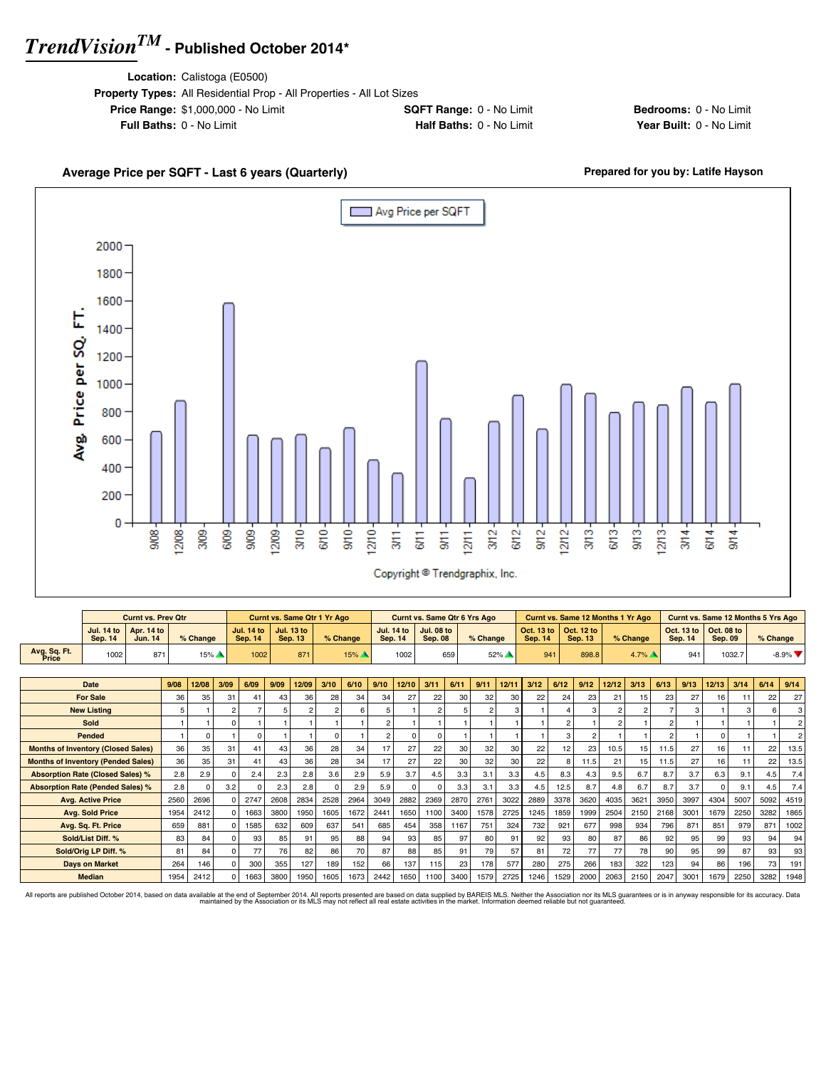**Location:** Calistoga (E0500)

| <b>Property Types:</b> All Residential Prop - All Properties - All Lot Sizes |                                 |
|------------------------------------------------------------------------------|---------------------------------|
| <b>Price Range: \$1,000,000 - No Limit</b>                                   | <b>SQFT Range: 0 - No Limit</b> |
| <b>Full Baths: 0 - No Limit</b>                                              | Half Baths: 0 - No Limit        |

**Bedrooms:** 0 - No Limit **Year Built: 0 - No Limit** 

### Average Price per SQFT - Last 6 years (Quarterly) **Average Price per SQFT - Last 6 years (Quarterly) Prepared for you by: Latife Hayson** Avg Price per SQFT Г 2000 1800 1600 Avg. Price per SQ. FT. 1400 1200 1000 800 600 400 200 0  $313 3/10 -$ 6/10- $9/10 3/12 9/12 12/12 613 9/13 12/13 3/14 -$ 908  $12/08$  $3/0.9 -$ 6/09 9/09 12/09- $12/10$  $6/11$  $\frac{1}{3}$  $1211 6/12$  $6/14$  $9/14$  $3/11$ . Copyright <sup>@</sup> Trendgraphix, Inc.

|                                           |                                     | <b>Curnt vs. Prev Qtr</b>    |      |          |      |                                     |      | <b>Curnt vs. Same Qtr 1 Yr Ago</b>  |                |          |                |                                     | <b>Curnt vs. Same Qtr 6 Yrs Ago</b> |      |            |        |                              |      | <b>Curnt vs. Same 12 Months 1 Yr Ago</b> |                |                |                | <b>Curnt vs. Same 12 Months 5 Yrs Ago</b> |                              |        |                 |                |
|-------------------------------------------|-------------------------------------|------------------------------|------|----------|------|-------------------------------------|------|-------------------------------------|----------------|----------|----------------|-------------------------------------|-------------------------------------|------|------------|--------|------------------------------|------|------------------------------------------|----------------|----------------|----------------|-------------------------------------------|------------------------------|--------|-----------------|----------------|
|                                           | <b>Jul. 14 to</b><br><b>Sep. 14</b> | Apr. 14 to<br><b>Jun. 14</b> |      | % Change |      | <b>Jul. 14 to</b><br><b>Sep. 14</b> |      | <b>Jul. 13 to</b><br><b>Sep. 13</b> |                | % Change |                | <b>Jul. 14 to</b><br><b>Sep. 14</b> | <b>Jul. 08 to</b><br><b>Sep. 08</b> |      | $%$ Change |        | Oct. 13 to<br><b>Sep. 14</b> |      | Oct. 12 to<br><b>Sep. 13</b>             |                | % Change       |                | Oct. 13 to<br><b>Sep. 14</b>              | Oct. 08 to<br><b>Sep. 09</b> |        | % Change        |                |
| Avg. Sq. Ft.<br>Price                     | 1002                                | 871                          |      | 15%      |      | 1002                                |      | 871                                 |                | 15%      |                | 1002                                |                                     | 659  |            | $52\%$ |                              | 941  | 898.8                                    |                | $4.7\%$        |                | 941                                       |                              | 1032.7 |                 | $-8.9\%$       |
|                                           |                                     |                              |      |          |      |                                     |      |                                     |                |          |                |                                     |                                     |      |            |        |                              |      |                                          |                |                |                |                                           |                              |        |                 |                |
|                                           | Date                                |                              | 9/08 | 12/08    | 3/09 | 6/09                                | 9/09 | 12/09                               | 3/10           | 6/10     | 9/10           | 12/10                               | 3/11                                | 6/11 | 9/11       | 12/11  | 3/12                         | 6/12 | 9/12                                     | 12/12          | 3/13           | 6/13           | 9/13                                      | 12/13                        | 3/14   | 6/14            | 9/14           |
|                                           | <b>For Sale</b>                     |                              | 36   | 35       | 31   | 41                                  | 43   | 36                                  | 28             | 34       | 34             | 27                                  | 22                                  | 30   | 32         | 30     | 22                           | 24   | 23                                       | 21             | 15             | 23             | 27                                        | 16                           | 11     | 22              | 27             |
|                                           | <b>New Listing</b>                  |                              |      | 5        |      | $\overline{2}$                      |      |                                     | $\mathfrak{p}$ | 6        | 5              |                                     | 2                                   | 5    |            | 3      |                              |      | з                                        | $\overline{2}$ | $\overline{2}$ | $\overline{7}$ | 3                                         |                              | 3      |                 |                |
|                                           | Sold                                |                              |      |          |      |                                     |      |                                     |                |          | $\overline{2}$ |                                     |                                     |      |            |        |                              |      |                                          | 2              |                | $\overline{2}$ |                                           |                              |        |                 | $\mathfrak{p}$ |
|                                           | Pended                              |                              |      | n        |      |                                     |      |                                     | $\Omega$       |          | $\overline{2}$ | $\Omega$                            | 0                                   |      |            |        |                              | 3    |                                          |                |                | $\overline{2}$ |                                           | <sub>0</sub>                 |        |                 |                |
| <b>Months of Inventory (Closed Sales)</b> |                                     |                              | 36   | 35       | 31   | 41                                  | 43   | 36                                  | 28             | 34       | 17             | 27                                  | 22                                  | 30   | 32         | 30     | 22                           | 12   | 23                                       | 10.5           | 15             | 11.5           | 27                                        | 16                           | 11     | 22              | 13.5           |
| <b>Months of Inventory (Pended Sales)</b> |                                     |                              | 36   | 35       | 31   | 41                                  | 43   | 36                                  | 28             | 34       | 17             | 27                                  | 22                                  | 30   | 32         | 30     | 22                           | 8    | 11.5                                     | 21             | 15             | 11.5           | 27                                        | 16                           | 11     | 22              | 13.5           |
| <b>Absorption Rate (Closed Sales) %</b>   |                                     |                              | 2.8  | 2.9      |      | 2.4                                 | 2.3  | 2.8                                 | 3.6            | 2.9      | 5.9            | 3.7                                 | 4.5                                 | 3.3  | 3.1        | 3.3    | 4.5                          | 8.3  | 4.3                                      | 9.5            | 6.7            | 8.7            | 3.7                                       | 6.3                          | 9.1    | 4.5             | 7.4            |
| <b>Absorption Rate (Pended Sales) %</b>   |                                     |                              | 2.8  |          | 3.2  |                                     | 2.3  | 2.8                                 | $\Omega$       | 2.9      | 5.9            | $\Omega$                            | ŋ                                   | 3.3  | 3.1        | 3.3    | 4.5                          | 12.5 | 8.7                                      | 4.8            | 6.7            | 8.7            | 3.7                                       |                              | 9.1    | 4.5             | 7.4            |
|                                           | <b>Avg. Active Price</b>            |                              | 2560 | 2696     |      | 2747                                | 2608 | 2834                                | 2528           | 2964     | 3049           | 2882                                | 2369                                | 2870 | 2761       | 3022   | 2889                         | 3378 | 3620                                     | 4035           | 3621           | 3950           | 3997                                      | 4304                         | 5007   | 5092            | 4519           |
|                                           | <b>Avg. Sold Price</b>              |                              | 1954 | 2412     |      | 1663                                | 3800 | 1950                                | 1605           | 1672     | 2441           | 1650                                | 1100                                | 3400 | 1578       | 2725   | 1245                         | 1859 | 1999                                     | 2504           | 2150           | 2168           | 3001                                      | 1679                         | 2250   | 3282            | 1865           |
|                                           | Avg. Sq. Ft. Price                  |                              | 659  | 881      |      | 1585                                | 632  | 609                                 | 637            | 541      | 685            | 454                                 | 358                                 | 1167 | 751        | 324    | 732                          | 921  | 677                                      | 998            | 934            | 796            | 871                                       | 851                          | 979    | 87 <sup>°</sup> | 1002           |
|                                           | Sold/List Diff. %                   |                              | 83   | 84       |      | 93                                  | 85   | 91                                  | 95             | 88       | 94             | 93                                  | 85                                  | 97   | 80         | 91     | 92                           | 93   | 80                                       | 87             | 86             | 92             | 95                                        | 99                           | 93     | 94              | 94             |
|                                           | Sold/Orig LP Diff. %                |                              | 81   | 84       |      | 77<br>$\Omega$                      | 76   | 82                                  | 86             | 70       | 87             | 88                                  | 85                                  | 91   | 79         | 57     | 81                           | 72   | 77                                       | 77             | 78             | 90             | 95                                        | 99                           | 87     | 93              | 93             |
|                                           | <b>Davs on Market</b>               |                              | 264  | 146      |      | 300                                 | 355  | 127                                 | 189            | 152      | 66             | 137                                 | 115                                 | 23   | 178        | 577    | 280                          | 275  | 266                                      | 183            | 322            | 123            | 94                                        | 86                           | 196    | 73              | 191            |
|                                           | <b>Median</b>                       |                              | 1954 | 2412     |      | 1663                                | 3800 | 1950                                | 1605           | 1673     | 2442           | 1650                                | 1100                                | 3400 | 1579       | 2725   | 1246                         | 1529 | 2000                                     | 2063           | 2150           | 2047           | 3001                                      | 1679                         | 2250   | 3282            | 1948           |

All reports are published October 2014, based on data available at the end of September 2014. All reports presented are based on data avaindanced by the Association or its MLS may not reflect all real estate activities in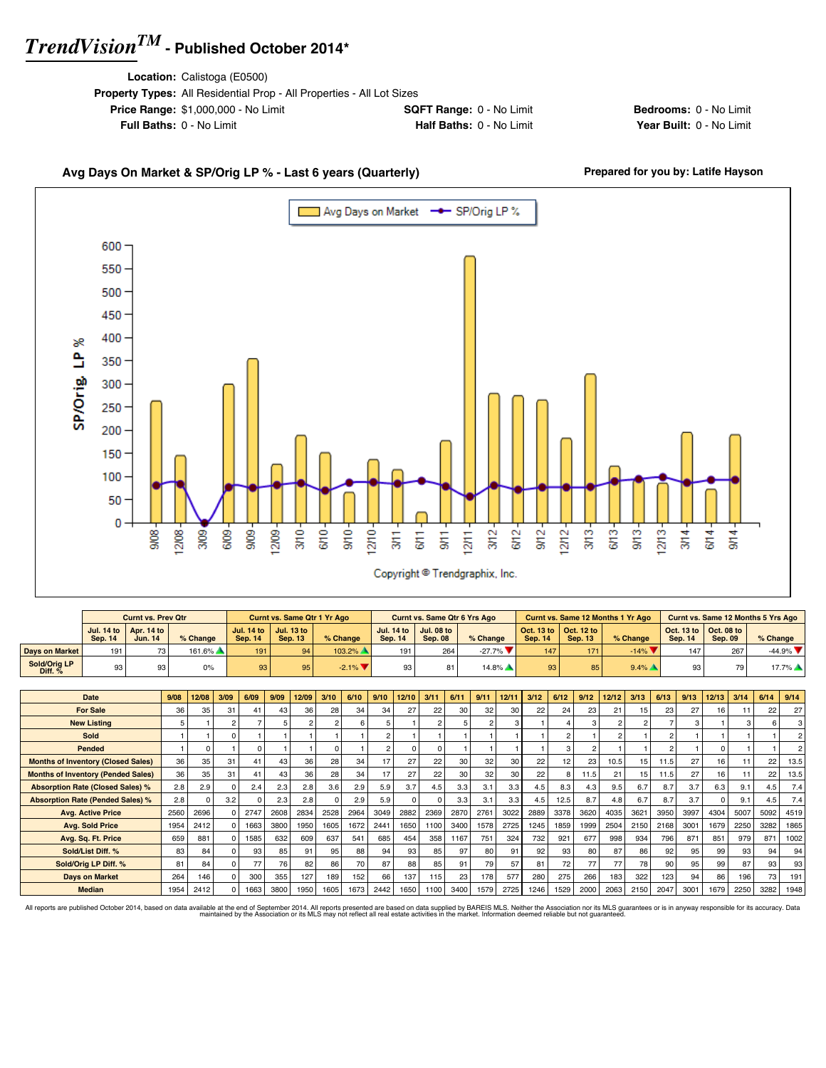**Location:** Calistoga (E0500)

| <b>Property Types:</b> All Residential Prop - All Properties - All Lot Sizes |                                 |
|------------------------------------------------------------------------------|---------------------------------|
| <b>Price Range: \$1,000,000 - No Limit</b>                                   | <b>SQFT Range: 0 - No Limit</b> |
| <b>Full Baths: 0 - No Limit</b>                                              | Half Baths: 0 - No Limit        |

**Bedrooms:** 0 - No Limit **Year Built: 0 - No Limit** 

### Avg Days On Market & SP/Orig LP % - Last 6 years (Quarterly) **Prepared for you by: Latife Hayson**



|                           |                | <b>Curnt vs. Prev Qtr</b>                   |            |                 | Curnt vs. Same Qtr 1 Yr Ago                 |           |                              | <b>Curnt vs. Same Qtr 6 Yrs Ago</b> |            |                |                                                         | Curnt vs. Same 12 Months 1 Yr Ago |                |                                                                 | <b>Curnt vs. Same 12 Months 5 Yrs Ago</b> |
|---------------------------|----------------|---------------------------------------------|------------|-----------------|---------------------------------------------|-----------|------------------------------|-------------------------------------|------------|----------------|---------------------------------------------------------|-----------------------------------|----------------|-----------------------------------------------------------------|-------------------------------------------|
|                           | <b>Sep. 14</b> | Jul. 14 to   Apr. 14 to  <br><b>Jun. 14</b> | $%$ Change | <b>Sep. 14</b>  | Jul. 14 to   Jul. 13 to  <br><b>Sep. 13</b> | % Change  | <b>Jul. 14 to</b><br>Sep. 14 | <b>Jul. 08 to</b><br><b>Sep. 08</b> | $%$ Change | <b>Sep. 14</b> | Oct. 13 to $\vert$ Oct. 12 to $\vert$<br><b>Sep. 13</b> | % Change                          | <b>Sep. 14</b> | $\vert$ Oct. 13 to $\vert$ Oct. 08 to $\vert$<br><b>Sep. 09</b> | $%$ Change                                |
| <b>Davs on Market</b>     | 191            | 73                                          | 161.6%     | 191             | 94                                          | $103.2\%$ | 191                          | 264                                 | $-27.7\%$  | 147            | 171                                                     | $-14\%$                           | 147            | 267                                                             | $-44.9%$                                  |
| Sold/Oria LP<br>Diff. $%$ | 93             | 93                                          | 0%         | 93 <sub>1</sub> | 95                                          | $-2.1\%$  |                              |                                     | $14.8\%$   | 93             | 85                                                      | $9.4\%$                           | 93             | 70                                                              | $17.7\%$                                  |

| Date                                      | 9/08 | 12/08    | 3/09         | 6/09 | 9/09 | 12/09 | 3/10 | 6/10 | 9/10           | 12/10    | 3/11         | 6/11            | 9/11 | 12/11 | 3/12 | 6/12         | 9/12          | 12/12          | 3/13           | 6/13           | 9/13 | 12/13           | 3/14 | 6/14 | 9/14 |
|-------------------------------------------|------|----------|--------------|------|------|-------|------|------|----------------|----------|--------------|-----------------|------|-------|------|--------------|---------------|----------------|----------------|----------------|------|-----------------|------|------|------|
| <b>For Sale</b>                           | 36   | 35       | 31           | 41   | 43   | 36    | 28   | 34   | 34             | 27       | 22           | 30              | 32   | 30    | 22   | 24           | 23            | 21             | 15             | 23             | 27   | 16              | 11   | 22   | 27   |
| <b>New Listing</b>                        |      |          | $\mathbf{2}$ |      |      |       |      |      |                |          |              | 5               |      |       |      |              | 3             | $\overline{2}$ | $\mathfrak{p}$ | ⇁              | 3    |                 |      |      |      |
| <b>Sold</b>                               |      |          | $\Omega$     |      |      |       |      |      | $\overline{2}$ |          |              |                 |      |       |      | $\mathbf{2}$ |               | $\overline{2}$ |                | $\mathfrak{p}$ |      |                 |      |      |      |
| Pended                                    |      | 0        |              |      |      |       |      |      | $\mathcal{P}$  | $\Omega$ | <sup>0</sup> |                 |      |       |      |              | $\mathcal{P}$ |                |                | $\mathfrak{p}$ |      |                 |      |      |      |
| <b>Months of Inventory (Closed Sales)</b> | 36   | 35       | 31           | 41   | 43   | 36    | 28   | 34   | 17             | 27       | 22           | 30              | 32   | 30    | 22   | 12           | 23            | 10.5           | 15             | 11.5           | 27   | 16              | 11   | 22   | 13.5 |
| <b>Months of Inventory (Pended Sales)</b> | 36   | 35       | 31           | 41   | 43   | 36    | 28   | 34   |                | 27       | 22           | 30              | 32   | 30    | 22   |              | 11.5          | 21             | 15             | 11.5           | 27   | 16 <sup>1</sup> | 11   | 22   | 13.5 |
| <b>Absorption Rate (Closed Sales) %</b>   | 2.8  | 2.9      |              | 2.4  | 2.3  | 2.8   | 3.6  | 2.9  | 5.9            | 3.7      | 4.5          | 3.3             | 3.1  | 3.3   | 4.5  | 8.3          | 4.3           | 9.5            | 6.7            | 8.7            | 3.7  | 6.3             | 9.1  | 4.5  | 7.4  |
| <b>Absorption Rate (Pended Sales) %</b>   | 2.8  | $\Omega$ | 3.2          |      | 2.3  | 2.8   |      | 2.9  | 5.9            | $\Omega$ | <sup>0</sup> | 3.3             | 3.1  | 3.3   | 4.5  | 12.5         | 8.7           | 4.8            | 6.7            | 8.7            | 3.7  |                 | 9.1  | 4.5  | 7.4  |
| <b>Avg. Active Price</b>                  | 2560 | 2696     |              | 2747 | 2608 | 2834  | 2528 | 2964 | 3049           | 2882     | 2369         | 2870            | 2761 | 3022  | 2889 | 3378         | 3620          | 4035           | 3621           | 3950           | 3997 | 4304            | 5007 | 5092 | 4519 |
| <b>Avg. Sold Price</b>                    | 1954 | 2412     |              | 1663 | 3800 | 1950  | 1605 | 1672 | 2441           | 1650     | 1100         | 3400            | 1578 | 2725  | 1245 | 1859         | 1999          | 2504           | 2150           | 2168           | 3001 | 1679            | 2250 | 3282 | 1865 |
| Avg. Sq. Ft. Price                        | 659  | 881      |              | 1585 | 632  | 609   | 637  | 541  | 685            | 454      | 358          | 1167            | 751  | 324   | 732  | 921          | 677           | 998            | 934            | 796            | 871  | 851             | 979  | 871  | 1002 |
| Sold/List Diff. %                         | 83   | 84       |              | 93   | 85   | 91    | 95   | 88   | 94             | 93       | 85           | 97 <sup>1</sup> | 80   | 91    | 92   | 93           | 80            | 87             | 86             | 92             | 95   | 99              | 93   | 94   | 94   |
| Sold/Orig LP Diff. %                      | 81   | 84       |              | 77   | 76   | 82    | 86   | 70   | 87             | 88       | 85           | 91              | 79   | 57    | 81   | 72           | 77            | 77             | 78             | 90             | 95   | 99              | 87   | 93   | 93   |
| <b>Days on Market</b>                     | 264  | 146      |              | 300  | 355  | 127   | 189  | 152  | 66             | 137      | 115          | 23              | 178  | 577   | 280  | 275          | 266           | 183            | 322            | 123            | 94   | 86              | 196  | 73   | 191  |
| <b>Median</b>                             | 1954 | 2412     |              | 1663 | 3800 | 1950  | 1605 | 1673 | 2442           | 1650     | 1100         | 3400            | 1579 | 2725  | 1246 | 1529         | 2000          | 2063           | 2150           | 2047           | 3001 | 1679            | 2250 | 3282 | 1948 |

All reports are published October 2014, based on data available at the end of September 2014. All reports presented are based on data avapplied by the Association or its MLS may not reflect all real estate activities in th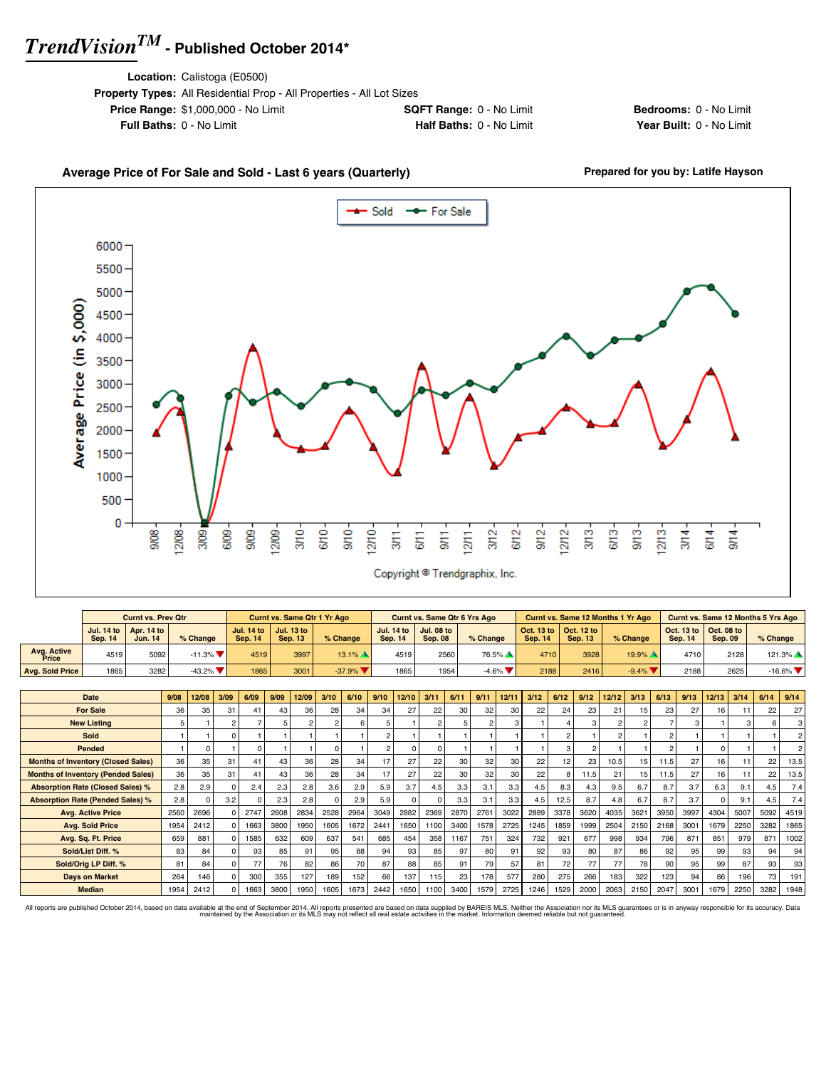**Location:** Calistoga (E0500)

| <b>Property Types:</b> All Residential Prop - All Properties - All Lot Sizes |                                 |
|------------------------------------------------------------------------------|---------------------------------|
| <b>Price Range: \$1,000,000 - No Limit</b>                                   | <b>SQFT Range: 0 - No Limit</b> |
| <b>Full Baths: 0 - No Limit</b>                                              | Half Baths: 0 - No Limit        |

**Bedrooms:** 0 - No Limit **Year Built: 0 - No Limit** 

#### Average Price of For Sale and Sold - Last 6 years (Quarterly) **Prepared for you by: Latife Hayson**  $-$  Sold -- For Sale 6000 5500 5000 Average Price (in \$,000) 4500 4000 3500 3000 2500 2000 1500 1000 500 0  $\frac{8}{30}$ 12/08  $3009$  $609 \frac{6}{5}$ 6/10  $rac{1}{5}$  $12110$  $3/12$ SM<sub>2</sub>  $12/12$  $\frac{3}{2}$ 6/13  $\frac{1}{5}$  $1213$ 9,09 12/09  $rac{2}{3}$  $3/14$  $9/14$ SH1  $6/14$  $\frac{1}{3}$  $rac{1}{9}$  $1271$ Copyright <sup>@</sup> Trendgraphix, Inc.

|                      |                | <b>Curnt vs. Prev Qtr</b>                               |                                |                              | Curnt vs. Same Qtr 1 Yr Ago  |          |                                | Curnt vs. Same Qtr 6 Yrs Ago        |                               |                                                                 |                | <b>Curnt vs. Same 12 Months 1 Yr Ago</b> |                |                                                         | Curnt vs. Same 12 Months 5 Yrs Ago |
|----------------------|----------------|---------------------------------------------------------|--------------------------------|------------------------------|------------------------------|----------|--------------------------------|-------------------------------------|-------------------------------|-----------------------------------------------------------------|----------------|------------------------------------------|----------------|---------------------------------------------------------|------------------------------------|
|                      | <b>Sep. 14</b> | Jul. 14 to $\vert$ Apr. 14 to $\vert$<br><b>Jun. 14</b> | % Change                       | Jul. 14 to<br><b>Sep. 14</b> | Jul. 13 to<br><b>Sep. 13</b> | % Change | Jul. 14 to 1<br><b>Sep. 14</b> | <b>Jul. 08 to</b><br><b>Sep. 08</b> | % Change                      | $\vert$ Oct. 13 to $\vert$ Oct. 12 to $\vert$<br><b>Sep. 14</b> | <b>Sep. 13</b> | % Change                                 | <b>Sep. 14</b> | Oct. 13 to $\vert$ Oct. 08 to $\vert$<br><b>Sep. 09</b> | $%$ Change                         |
| Avg. Active<br>Price | 4519           | 5092                                                    | $-11.3\%$ $\blacksquare$       | 4519                         | 3997                         | $13.1\%$ | 4519                           | 2560                                | 76.5%                         | 4710                                                            | 3928           | $19.9\%$                                 | 4710           | 2128                                                    | $121.3\%$                          |
| Ava. Sold Price      | 1865           | 3282                                                    | $-43.2\%$ $\blacktriangledown$ | 1865                         | 3001                         | $-37.9%$ | 1865                           | 1954                                | $-4.6\%$ $\blacktriangledown$ | 2188                                                            | 2416           | $-9.4\%$                                 | 2188           | 2625                                                    | $-16.6\%$                          |

| Date                                      | 9/08 | 12/08 | 3/09 | 6/09 | 9/09 | 12/09 | 3/10           | 6/10 | 9/10          | 12/10    | 3/11           | 6/11 | 9/11            | 12/11 | 3/12 | 6/12 | 9/12 | 12/12          | 3/13           | 6/13 | 9/13 | 12/13 | 3/14 | 6/14 | 9/14           |
|-------------------------------------------|------|-------|------|------|------|-------|----------------|------|---------------|----------|----------------|------|-----------------|-------|------|------|------|----------------|----------------|------|------|-------|------|------|----------------|
| <b>For Sale</b>                           | 36   | 35    | 31   | 41   | 43   | 36    | 28             | 34   | 34            | 27       | 22             | 30   | 32              | 30    | 22   | 24   | 23   | 21             | 15             | 23   | 27   | 16    |      | 22   | 27             |
| <b>New Listing</b>                        | 5    |       |      |      |      |       | $\overline{2}$ | -6   | 5             |          | $\mathfrak{p}$ | 5    |                 | 3     |      |      | 3    | $\overline{2}$ | $\mathfrak{p}$ |      | 3    |       |      |      | $\mathbf{3}$   |
| <b>Sold</b>                               |      |       |      |      |      |       |                |      |               |          |                |      |                 |       |      |      |      |                |                |      |      |       |      |      | 2 <sup>1</sup> |
| Pended                                    |      |       |      |      |      |       | $\Omega$       |      | $\mathcal{P}$ | $\Omega$ |                |      |                 |       |      |      |      |                |                |      |      |       |      |      | 2 <sup>1</sup> |
| <b>Months of Inventory (Closed Sales)</b> | 36   | 35    | 31   | 41   | 43   | 36    | 28             | 34   | 17            | 27       | 22             | 30   | 32              | 30    | 22   | 12   | 23   | 10.5           | 15             | 11.5 | 27   | 16    |      | 22   | 13.5           |
| <b>Months of Inventory (Pended Sales)</b> | 36   | 35    | 31   | 41   | 43   | 36    | 28             | 34   | 17            | 27       | 22             | 30   | 32 <sub>1</sub> | 30    | 22   |      | 11.5 | 21             | 15             | 11.5 | 27   | 16    |      | 22   | 13.5           |
| <b>Absorption Rate (Closed Sales) %</b>   | 2.8  | 2.9   |      | 2.4  | 2.3  | 2.8   | 3.6            | 2.9  | 5.9           | 3.7      | 4.5            | 3.3  | 3.1             | 3.3   | 4.5  | 8.3  | 4.3  | 9.5            | 6.7            | 8.7  | 3.7  | 6.3   | 9.1  | 4.5  | 7.4            |
| <b>Absorption Rate (Pended Sales) %</b>   | 2.8  |       | 3.2  |      | 2.3  | 2.8   | $\Omega$       | 2.9  | 5.9           | $\Omega$ |                | 3.3  | 3.1             | 3.3   | 4.5  | 12.5 | 8.7  | 4.8            | 6.7            | 8.7  | 3.7  |       | 9.1  | 4.5  | 7.4            |
| <b>Avg. Active Price</b>                  | 2560 | 2696  |      | 2747 | 2608 | 2834  | 2528           | 2964 | 3049          | 2882     | 2369           | 2870 | 2761            | 3022  | 2889 | 3378 | 3620 | 4035           | 3621           | 3950 | 3997 | 4304  | 5007 | 5092 | 4519           |
| <b>Avg. Sold Price</b>                    | 1954 | 2412  |      | 1663 | 3800 | 1950  | 1605           | 1672 | 2441          | 1650     | 1100           | 3400 | 1578            | 2725  | 1245 | 1859 | 1999 | 2504           | 2150           | 2168 | 3001 | 1679  | 2250 | 3282 | 1865           |
| Avg. Sq. Ft. Price                        | 659  | 881   |      | 1585 | 632  | 609   | 637            | 541  | 685           | 454      | 358            | 1167 | 751             | 324   | 732  | 921  | 677  | 998            | 934            | 796  | 871  | 851   | 979  | 871  | 1002           |
| Sold/List Diff. %                         | 83   | 84    |      | 93   | 85   | 91    | 95             | 88   | 94            | 93       | 85             | 97   | 80              | 91    | 92   | 93   | 80   | 87             | 86             | 92   | 95   | 99    | 93   | 94   | 94             |
| Sold/Orig LP Diff. %                      | 81   | 84    |      | 77   | 76   | 82    | 86             | 70   | 87            | 88       | 85             | 91   | 79              | 57    | 81   | 72   | 77   | 77             | 78             | 90   | 95   | 99    | 87   | 93   | 93             |
| <b>Days on Market</b>                     | 264  | 146   |      | 300  | 355  | 127   | 189            | 152  | 66            | 137      | 115            | 23   | 178             | 577   | 280  | 275  | 266  | 183            | 322            | 123  | 94   | 86    | 196  | 73   | 191            |
| <b>Median</b>                             | 1954 | 2412  |      | 1663 | 3800 | 1950  | 1605           | 1673 | 2442          | 1650     | 1100           | 3400 | 1579            | 2725  | 1246 | 1529 | 2000 | 2063           | 2150           | 2047 | 3001 | 1679  | 2250 | 3282 | 1948           |

All reports are published October 2014, based on data available at the end of September 2014. All reports presented are based on data avapplied by the Association or its MLS may not reflect all real estate activities in th